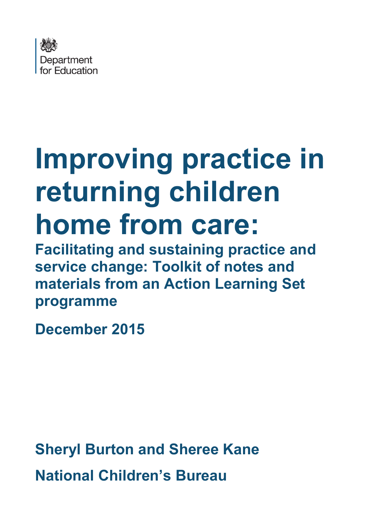

# **Improving practice in returning children home from care:**

**Facilitating and sustaining practice and service change: Toolkit of notes and materials from an Action Learning Set programme**

**December 2015**

**Sheryl Burton and Sheree Kane National Children's Bureau**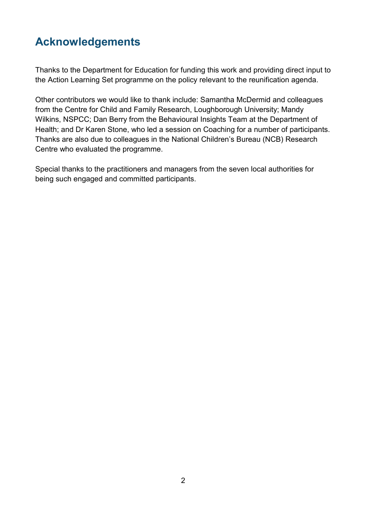# <span id="page-1-0"></span>**Acknowledgements**

Thanks to the Department for Education for funding this work and providing direct input to the Action Learning Set programme on the policy relevant to the reunification agenda.

Other contributors we would like to thank include: Samantha McDermid and colleagues from the Centre for Child and Family Research, Loughborough University; Mandy Wilkins, NSPCC; Dan Berry from the Behavioural Insights Team at the Department of Health; and Dr Karen Stone, who led a session on Coaching for a number of participants. Thanks are also due to colleagues in the National Children's Bureau (NCB) Research Centre who evaluated the programme.

Special thanks to the practitioners and managers from the seven local authorities for being such engaged and committed participants.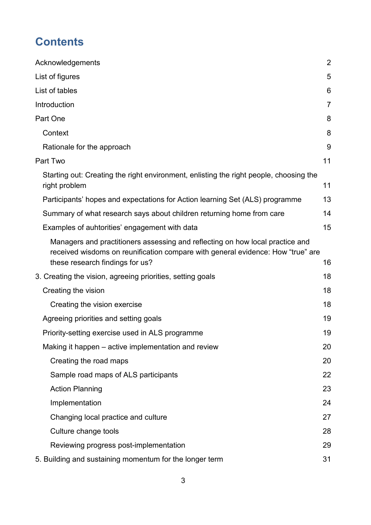# **Contents**

| Acknowledgements                                                                                                                                                                                    | $\overline{2}$ |
|-----------------------------------------------------------------------------------------------------------------------------------------------------------------------------------------------------|----------------|
| List of figures                                                                                                                                                                                     | 5              |
| List of tables                                                                                                                                                                                      | 6              |
| Introduction                                                                                                                                                                                        | 7              |
| Part One                                                                                                                                                                                            | 8              |
| Context                                                                                                                                                                                             | 8              |
| Rationale for the approach                                                                                                                                                                          | 9              |
| Part Two                                                                                                                                                                                            | 11             |
| Starting out: Creating the right environment, enlisting the right people, choosing the<br>right problem                                                                                             | 11             |
| Participants' hopes and expectations for Action learning Set (ALS) programme                                                                                                                        | 13             |
| Summary of what research says about children returning home from care                                                                                                                               | 14             |
| Examples of auhtorities' engagement with data                                                                                                                                                       | 15             |
| Managers and practitioners assessing and reflecting on how local practice and<br>received wisdoms on reunification compare with general evidence: How "true" are<br>these research findings for us? | 16             |
| 3. Creating the vision, agreeing priorities, setting goals                                                                                                                                          | 18             |
| Creating the vision                                                                                                                                                                                 | 18             |
| Creating the vision exercise                                                                                                                                                                        | 18             |
| Agreeing priorities and setting goals                                                                                                                                                               | 19             |
| Priority-setting exercise used in ALS programme                                                                                                                                                     | 19             |
| Making it happen – active implementation and review                                                                                                                                                 | 20             |
| Creating the road maps                                                                                                                                                                              | 20             |
| Sample road maps of ALS participants                                                                                                                                                                | 22             |
| <b>Action Planning</b>                                                                                                                                                                              | 23             |
| Implementation                                                                                                                                                                                      | 24             |
| Changing local practice and culture                                                                                                                                                                 | 27             |
| Culture change tools                                                                                                                                                                                | 28             |
| Reviewing progress post-implementation                                                                                                                                                              | 29             |
| 5. Building and sustaining momentum for the longer term                                                                                                                                             | 31             |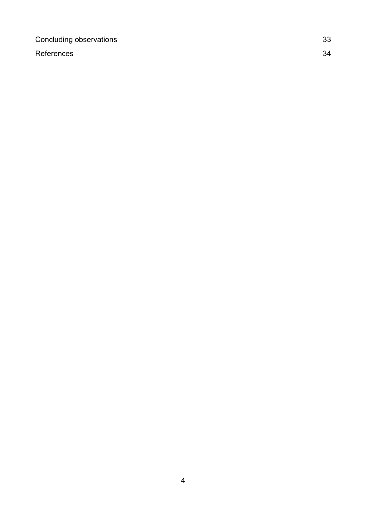[Concluding observations](#page-32-0) 33

[References](#page-33-0) 34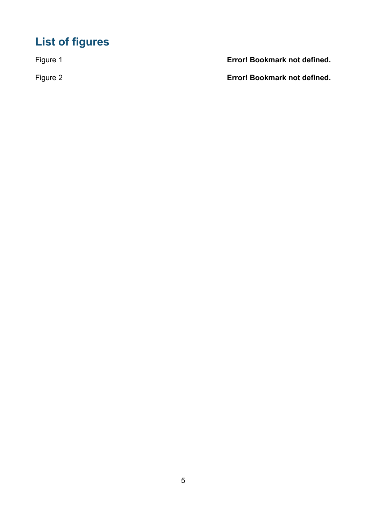# <span id="page-4-0"></span>**List of figures**

Figure 1 **Error! Bookmark not defined.**

Figure 2 **Error! Bookmark not defined.**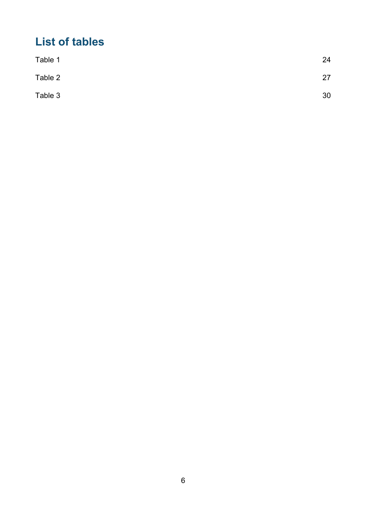# <span id="page-5-0"></span>**List of tables**

| Table 1 | 24 |
|---------|----|
| Table 2 | 27 |
| Table 3 | 30 |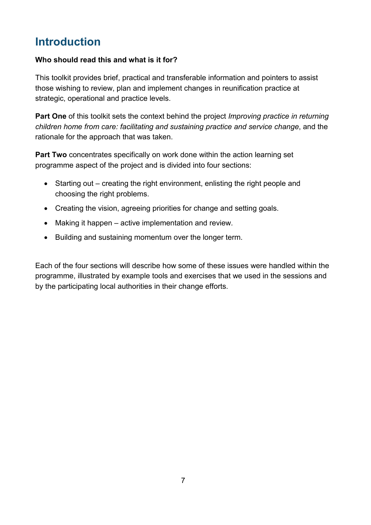# <span id="page-6-0"></span>**Introduction**

#### **Who should read this and what is it for?**

This toolkit provides brief, practical and transferable information and pointers to assist those wishing to review, plan and implement changes in reunification practice at strategic, operational and practice levels.

**Part One** of this toolkit sets the context behind the project *Improving practice in returning children home from care: facilitating and sustaining practice and service change*, and the rationale for the approach that was taken.

**Part Two** concentrates specifically on work done within the action learning set programme aspect of the project and is divided into four sections:

- Starting out creating the right environment, enlisting the right people and choosing the right problems.
- Creating the vision, agreeing priorities for change and setting goals.
- Making it happen active implementation and review.
- Building and sustaining momentum over the longer term.

Each of the four sections will describe how some of these issues were handled within the programme, illustrated by example tools and exercises that we used in the sessions and by the participating local authorities in their change efforts.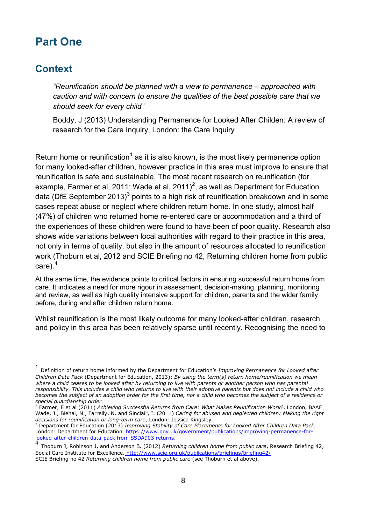# <span id="page-7-0"></span>**Part One**

## <span id="page-7-1"></span>**Context**

<u>.</u>

*"Reunification should be planned with a view to permanence – approached with caution and with concern to ensure the qualities of the best possible care that we should seek for every child"*

Boddy, J (2013) Understanding Permanence for Looked After Childen: A review of research for the Care Inquiry, London: the Care Inquiry

Return home or reunification<sup>[1](#page-7-2)</sup> as it is also known, is the most likely permanence option for many looked-after children, however practice in this area must improve to ensure that reunification is safe and sustainable. The most recent research on reunification (for example, Farmer et al, [2](#page-7-3)011; Wade et al, 2011)<sup>2</sup>, as well as Department for Education data (DfE September 201[3](#page-7-4))<sup>3</sup> points to a high risk of reunification breakdown and in some cases repeat abuse or neglect where children return home. In one study, almost half (47%) of children who returned home re-entered care or accommodation and a third of the experiences of these children were found to have been of poor quality. Research also shows wide variations between local authorities with regard to their practice in this area, not only in terms of quality, but also in the amount of resources allocated to reunification work (Thoburn et al, 2012 and SCIE Briefing no 42, Returning children home from public care).[4](#page-7-5)

At the same time, the evidence points to critical factors in ensuring successful return home from care. It indicates a need for more rigour in assessment, decision-making, planning, monitoring and review, as well as high quality intensive support for children, parents and the wider family before, during and after children return home.

Whilst reunification is the most likely outcome for many looked-after children, research and policy in this area has been relatively sparse until recently. Recognising the need to

<span id="page-7-2"></span><sup>1</sup> Definition of return home informed by the Department for Education's *Improving Permanence for Looked after Children Data Pack* (Department for Education, 2013): *By using the term(s) return home/reunification we mean*  where a child ceases to be looked after by returning to live with parents or another person who has parental *responsibility. This includes a child who returns to live with their adoptive parents but does not include a child who becomes the subject of an adoption order for the first time, nor a child who becomes the subject of a residence or special guardianship order.*

<span id="page-7-3"></span><sup>2</sup> Farmer, E et al (2011) *Achieving Successful Returns from Care: What Makes Reunification Work?*, London, BAAF Wade, J., Biehal, N., Farrelly, N. and Sinclair, I. (2011) *Caring for abused and neglected children: Making the right decisions for reunification or long-term care*, London: Jessica Kingsley.

<span id="page-7-4"></span><sup>3</sup> Department for Education (2013) *Improving Stability of Care Placements for Looked After Children Data Pack*, London: Department for Education. [https://www.gov.uk/government/publications/improving-permanence-for](https://www.gov.uk/government/publications/improving-permanence-for-looked-after-children-data-pack%20from%20SSDA903%20returns.Uses)[looked-after-children-data-pack](https://www.gov.uk/government/publications/improving-permanence-for-looked-after-children-data-pack%20from%20SSDA903%20returns.Uses) [from SSDA903 returns.](https://www.gov.uk/government/publications/improving-permanence-for-looked-after-children-data-pack%20from%20SSDA903%20returns.Uses) 

<span id="page-7-5"></span><sup>4</sup> Thoburn J, Robinson J, and Anderson B. (2012) *Returning children home from public care*, Research Briefing 42, Social Care Institute for Excellence. <http://www.scie.org.uk/publications/briefings/briefing42/> SCIE Briefing no 42 *Returning children home from public care* (see Thoburn et al above).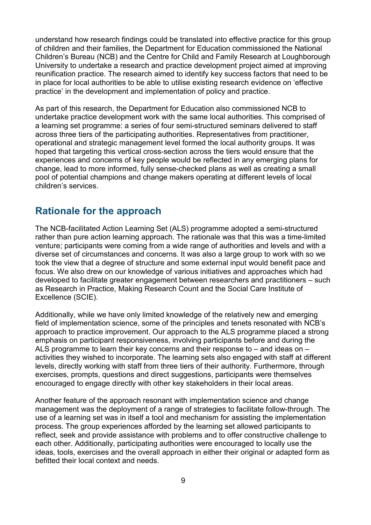understand how research findings could be translated into effective practice for this group of children and their families, the Department for Education commissioned the National Children's Bureau (NCB) and the Centre for Child and Family Research at Loughborough University to undertake a research and practice development project aimed at improving reunification practice. The research aimed to identify key success factors that need to be in place for local authorities to be able to utilise existing research evidence on 'effective practice' in the development and implementation of policy and practice.

As part of this research, the Department for Education also commissioned NCB to undertake practice development work with the same local authorities. This comprised of a learning set programme: a series of four semi-structured seminars delivered to staff across three tiers of the participating authorities. Representatives from practitioner, operational and strategic management level formed the local authority groups. It was hoped that targeting this vertical cross-section across the tiers would ensure that the experiences and concerns of key people would be reflected in any emerging plans for change, lead to more informed, fully sense-checked plans as well as creating a small pool of potential champions and change makers operating at different levels of local children's services.

## <span id="page-8-0"></span>**Rationale for the approach**

The NCB-facilitated Action Learning Set (ALS) programme adopted a semi-structured rather than pure action learning approach. The rationale was that this was a time-limited venture; participants were coming from a wide range of authorities and levels and with a diverse set of circumstances and concerns. It was also a large group to work with so we took the view that a degree of structure and some external input would benefit pace and focus. We also drew on our knowledge of various initiatives and approaches which had developed to facilitate greater engagement between researchers and practitioners – such as Research in Practice, Making Research Count and the Social Care Institute of Excellence (SCIE).

Additionally, while we have only limited knowledge of the relatively new and emerging field of implementation science, some of the principles and tenets resonated with NCB's approach to practice improvement. Our approach to the ALS programme placed a strong emphasis on participant responsiveness, involving participants before and during the ALS programme to learn their key concerns and their response to – and ideas on – activities they wished to incorporate. The learning sets also engaged with staff at different levels, directly working with staff from three tiers of their authority. Furthermore, through exercises, prompts, questions and direct suggestions, participants were themselves encouraged to engage directly with other key stakeholders in their local areas.

Another feature of the approach resonant with implementation science and change management was the deployment of a range of strategies to facilitate follow-through. The use of a learning set was in itself a tool and mechanism for assisting the implementation process. The group experiences afforded by the learning set allowed participants to reflect, seek and provide assistance with problems and to offer constructive challenge to each other. Additionally, participating authorities were encouraged to locally use the ideas, tools, exercises and the overall approach in either their original or adapted form as befitted their local context and needs.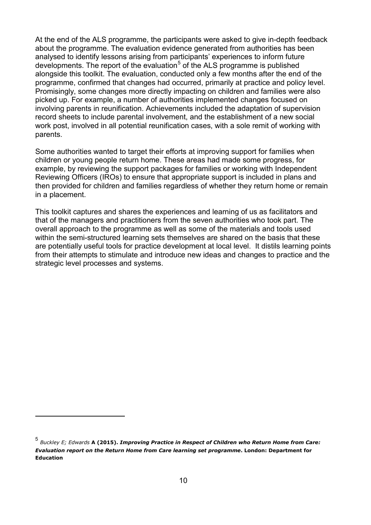At the end of the ALS programme, the participants were asked to give in-depth feedback about the programme. The evaluation evidence generated from authorities has been analysed to identify lessons arising from participants' experiences to inform future developments. The report of the evaluation<sup>[5](#page-9-0)</sup> of the ALS programme is published alongside this toolkit. The evaluation, conducted only a few months after the end of the programme, confirmed that changes had occurred, primarily at practice and policy level. Promisingly, some changes more directly impacting on children and families were also picked up. For example, a number of authorities implemented changes focused on involving parents in reunification. Achievements included the adaptation of supervision record sheets to include parental involvement, and the establishment of a new social work post, involved in all potential reunification cases, with a sole remit of working with parents.

Some authorities wanted to target their efforts at improving support for families when children or young people return home. These areas had made some progress, for example, by reviewing the support packages for families or working with Independent Reviewing Officers (IROs) to ensure that appropriate support is included in plans and then provided for children and families regardless of whether they return home or remain in a placement.

This toolkit captures and shares the experiences and learning of us as facilitators and that of the managers and practitioners from the seven authorities who took part. The overall approach to the programme as well as some of the materials and tools used within the semi-structured learning sets themselves are shared on the basis that these are potentially useful tools for practice development at local level. It distils learning points from their attempts to stimulate and introduce new ideas and changes to practice and the strategic level processes and systems.

-

<span id="page-9-0"></span><sup>5</sup> *Buckley E; Edwards* **A (2015).** *Improving Practice in Respect of Children who Return Home from Care: Evaluation report on the Return Home from Care learning set programme***. London: Department for Education**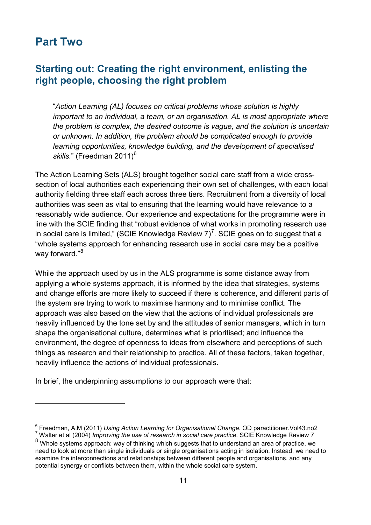# <span id="page-10-0"></span>**Part Two**

-

## <span id="page-10-1"></span>**Starting out: Creating the right environment, enlisting the right people, choosing the right problem**

"*Action Learning (AL) focuses on critical problems whose solution is highly important to an individual, a team, or an organisation. AL is most appropriate where the problem is complex, the desired outcome is vague, and the solution is uncertain or unknown. In addition, the problem should be complicated enough to provide learning opportunities, knowledge building, and the development of specialised*  skills." (Freedman 2011)<sup>[6](#page-10-2)</sup>

The Action Learning Sets (ALS) brought together social care staff from a wide crosssection of local authorities each experiencing their own set of challenges, with each local authority fielding three staff each across three tiers. Recruitment from a diversity of local authorities was seen as vital to ensuring that the learning would have relevance to a reasonably wide audience. Our experience and expectations for the programme were in line with the SCIE finding that "robust evidence of what works in promoting research use in social care is limited," (SCIE Knowledge Review [7](#page-10-3))<sup>7</sup>. SCIE goes on to suggest that a "whole systems approach for enhancing research use in social care may be a positive way forward."<sup>[8](#page-10-4)</sup>

While the approach used by us in the ALS programme is some distance away from applying a whole systems approach, it is informed by the idea that strategies, systems and change efforts are more likely to succeed if there is coherence, and different parts of the system are trying to work to maximise harmony and to minimise conflict. The approach was also based on the view that the actions of individual professionals are heavily influenced by the tone set by and the attitudes of senior managers, which in turn shape the organisational culture, determines what is prioritised; and influence the environment, the degree of openness to ideas from elsewhere and perceptions of such things as research and their relationship to practice. All of these factors, taken together, heavily influence the actions of individual professionals.

In brief, the underpinning assumptions to our approach were that:

<span id="page-10-2"></span><sup>&</sup>lt;sup>6</sup> Freedman, A.M (2011) *Using Action Learning for Organisational Change*. OD paractitioner.Vol43.no2<br><sup>7</sup> Walter et al (2004) *Improving the use of research in social care practice*. SCIE Knowledge Review 7

<span id="page-10-4"></span><span id="page-10-3"></span><sup>8</sup> Whole systems approach: way of thinking which suggests that to understand an area of practice, we need to look at more than single individuals or single organisations acting in isolation. Instead, we need to examine the interconnections and relationships between different people and organisations, and any potential synergy or conflicts between them, within the whole social care system.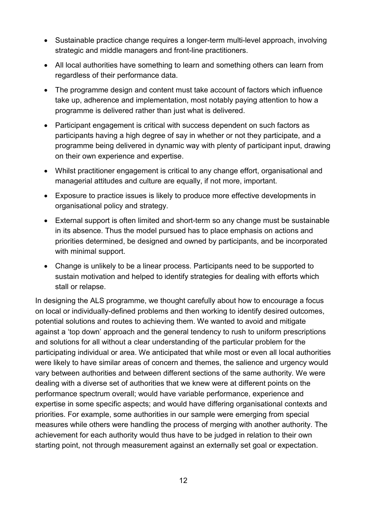- Sustainable practice change requires a longer-term multi-level approach, involving strategic and middle managers and front-line practitioners.
- All local authorities have something to learn and something others can learn from regardless of their performance data.
- The programme design and content must take account of factors which influence take up, adherence and implementation, most notably paying attention to how a programme is delivered rather than just what is delivered.
- Participant engagement is critical with success dependent on such factors as participants having a high degree of say in whether or not they participate, and a programme being delivered in dynamic way with plenty of participant input, drawing on their own experience and expertise.
- Whilst practitioner engagement is critical to any change effort, organisational and managerial attitudes and culture are equally, if not more, important.
- Exposure to practice issues is likely to produce more effective developments in organisational policy and strategy.
- External support is often limited and short-term so any change must be sustainable in its absence. Thus the model pursued has to place emphasis on actions and priorities determined, be designed and owned by participants, and be incorporated with minimal support.
- Change is unlikely to be a linear process. Participants need to be supported to sustain motivation and helped to identify strategies for dealing with efforts which stall or relapse.

In designing the ALS programme, we thought carefully about how to encourage a focus on local or individually-defined problems and then working to identify desired outcomes, potential solutions and routes to achieving them. We wanted to avoid and mitigate against a 'top down' approach and the general tendency to rush to uniform prescriptions and solutions for all without a clear understanding of the particular problem for the participating individual or area. We anticipated that while most or even all local authorities were likely to have similar areas of concern and themes, the salience and urgency would vary between authorities and between different sections of the same authority. We were dealing with a diverse set of authorities that we knew were at different points on the performance spectrum overall; would have variable performance, experience and expertise in some specific aspects; and would have differing organisational contexts and priorities. For example, some authorities in our sample were emerging from special measures while others were handling the process of merging with another authority. The achievement for each authority would thus have to be judged in relation to their own starting point, not through measurement against an externally set goal or expectation.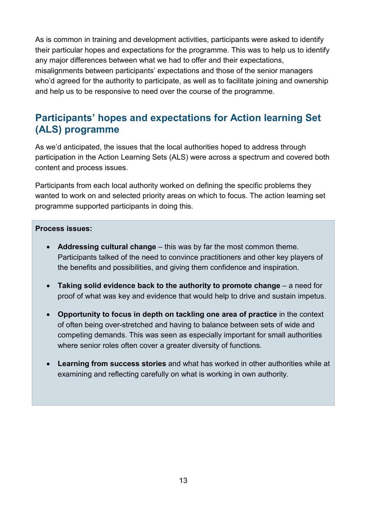As is common in training and development activities, participants were asked to identify their particular hopes and expectations for the programme. This was to help us to identify any major differences between what we had to offer and their expectations, misalignments between participants' expectations and those of the senior managers who'd agreed for the authority to participate, as well as to facilitate joining and ownership and help us to be responsive to need over the course of the programme.

# <span id="page-12-0"></span>**Participants' hopes and expectations for Action learning Set (ALS) programme**

As we'd anticipated, the issues that the local authorities hoped to address through participation in the Action Learning Sets (ALS) were across a spectrum and covered both content and process issues.

Participants from each local authority worked on defining the specific problems they wanted to work on and selected priority areas on which to focus. The action learning set programme supported participants in doing this.

#### **Process issues:**

- **Addressing cultural change** this was by far the most common theme. Participants talked of the need to convince practitioners and other key players of the benefits and possibilities, and giving them confidence and inspiration.
- **Taking solid evidence back to the authority to promote change** a need for proof of what was key and evidence that would help to drive and sustain impetus.
- **Opportunity to focus in depth on tackling one area of practice** in the context of often being over-stretched and having to balance between sets of wide and competing demands. This was seen as especially important for small authorities where senior roles often cover a greater diversity of functions.
- **Learning from success stories** and what has worked in other authorities while at examining and reflecting carefully on what is working in own authority.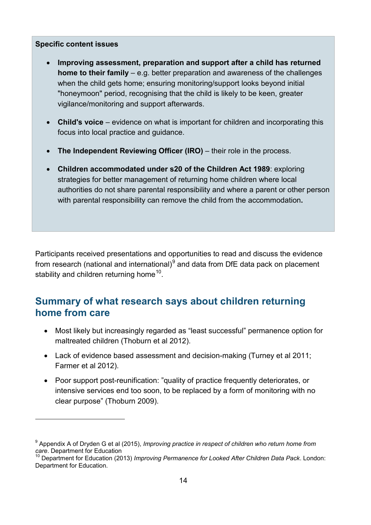#### **Specific content issues**

<u>.</u>

- **Improving assessment, preparation and support after a child has returned home to their family** – e.g. better preparation and awareness of the challenges when the child gets home; ensuring monitoring/support looks beyond initial "honeymoon" period, recognising that the child is likely to be keen, greater vigilance/monitoring and support afterwards.
- **Child's voice** evidence on what is important for children and incorporating this focus into local practice and guidance.
- **The Independent Reviewing Officer (IRO)** their role in the process.
- **Children accommodated under s20 of the Children Act 1989**: exploring strategies for better management of returning home children where local authorities do not share parental responsibility and where a parent or other person with parental responsibility can remove the child from the accommodation**.**

Participants received presentations and opportunities to read and discuss the evidence from research (national and international)<sup>[9](#page-13-1)</sup> and data from DfE data pack on placement stability and children returning home<sup>10</sup>.

## <span id="page-13-0"></span>**Summary of what research says about children returning home from care**

- Most likely but increasingly regarded as "least successful" permanence option for maltreated children (Thoburn et al 2012).
- Lack of evidence based assessment and decision-making (Turney et al 2011; Farmer et al 2012).
- Poor support post-reunification: "quality of practice frequently deteriorates, or intensive services end too soon, to be replaced by a form of monitoring with no clear purpose" (Thoburn 2009).

<span id="page-13-1"></span><sup>&</sup>lt;sup>9</sup> Appendix A of Dryden G et al (2015), *Improving practice in respect of children who return home from care*. Department for Education

<span id="page-13-2"></span><sup>&</sup>lt;sup>10</sup> Department for Education (2013) *Improving Permanence for Looked After Children Data Pack*. London: Department for Education.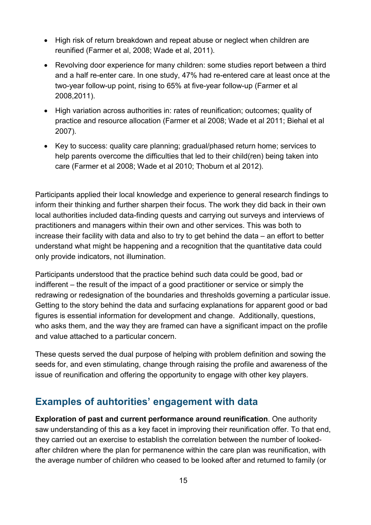- High risk of return breakdown and repeat abuse or neglect when children are reunified (Farmer et al, 2008; Wade et al, 2011).
- Revolving door experience for many children: some studies report between a third and a half re-enter care. In one study, 47% had re-entered care at least once at the two-year follow-up point, rising to 65% at five-year follow-up (Farmer et al 2008,2011).
- High variation across authorities in: rates of reunification; outcomes; quality of practice and resource allocation (Farmer et al 2008; Wade et al 2011; Biehal et al 2007).
- Key to success: quality care planning; gradual/phased return home; services to help parents overcome the difficulties that led to their child(ren) being taken into care (Farmer et al 2008; Wade et al 2010; Thoburn et al 2012).

Participants applied their local knowledge and experience to general research findings to inform their thinking and further sharpen their focus. The work they did back in their own local authorities included data-finding quests and carrying out surveys and interviews of practitioners and managers within their own and other services. This was both to increase their facility with data and also to try to get behind the data – an effort to better understand what might be happening and a recognition that the quantitative data could only provide indicators, not illumination.

Participants understood that the practice behind such data could be good, bad or indifferent – the result of the impact of a good practitioner or service or simply the redrawing or redesignation of the boundaries and thresholds governing a particular issue. Getting to the story behind the data and surfacing explanations for apparent good or bad figures is essential information for development and change. Additionally, questions, who asks them, and the way they are framed can have a significant impact on the profile and value attached to a particular concern.

These quests served the dual purpose of helping with problem definition and sowing the seeds for, and even stimulating, change through raising the profile and awareness of the issue of reunification and offering the opportunity to engage with other key players.

## <span id="page-14-0"></span>**Examples of auhtorities' engagement with data**

**Exploration of past and current performance around reunification**. One authority saw understanding of this as a key facet in improving their reunification offer. To that end, they carried out an exercise to establish the correlation between the number of lookedafter children where the plan for permanence within the care plan was reunification, with the average number of children who ceased to be looked after and returned to family (or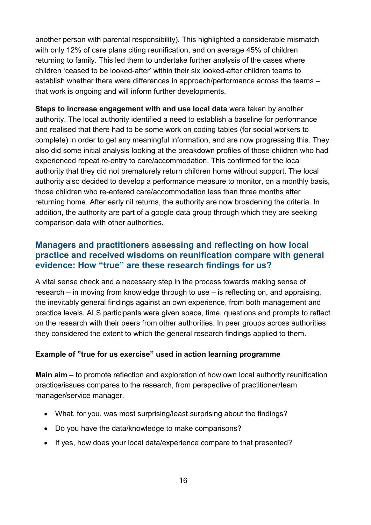another person with parental responsibility). This highlighted a considerable mismatch with only 12% of care plans citing reunification, and on average 45% of children returning to family. This led them to undertake further analysis of the cases where children 'ceased to be looked-after' within their six looked-after children teams to establish whether there were differences in approach/performance across the teams – that work is ongoing and will inform further developments.

**Steps to increase engagement with and use local data** were taken by another authority. The local authority identified a need to establish a baseline for performance and realised that there had to be some work on coding tables (for social workers to complete) in order to get any meaningful information, and are now progressing this. They also did some initial analysis looking at the breakdown profiles of those children who had experienced repeat re-entry to care/accommodation. This confirmed for the local authority that they did not prematurely return children home without support. The local authority also decided to develop a performance measure to monitor, on a monthly basis, those children who re-entered care/accommodation less than three months after returning home. After early nil returns, the authority are now broadening the criteria. In addition, the authority are part of a google data group through which they are seeking comparison data with other authorities.

#### <span id="page-15-0"></span>**Managers and practitioners assessing and reflecting on how local practice and received wisdoms on reunification compare with general evidence: How "true" are these research findings for us?**

A vital sense check and a necessary step in the process towards making sense of research – in moving from knowledge through to use – is reflecting on, and appraising, the inevitably general findings against an own experience, from both management and practice levels. ALS participants were given space, time, questions and prompts to reflect on the research with their peers from other authorities. In peer groups across authorities they considered the extent to which the general research findings applied to them.

#### **Example of "true for us exercise" used in action learning programme**

**Main aim** – to promote reflection and exploration of how own local authority reunification practice/issues compares to the research, from perspective of practitioner/team manager/service manager.

- What, for you, was most surprising/least surprising about the findings?
- Do you have the data/knowledge to make comparisons?
- If yes, how does your local data/experience compare to that presented?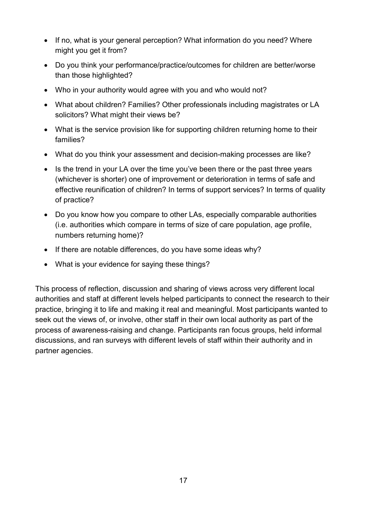- If no, what is your general perception? What information do you need? Where might you get it from?
- Do you think your performance/practice/outcomes for children are better/worse than those highlighted?
- Who in your authority would agree with you and who would not?
- What about children? Families? Other professionals including magistrates or LA solicitors? What might their views be?
- What is the service provision like for supporting children returning home to their families?
- What do you think your assessment and decision-making processes are like?
- Is the trend in your LA over the time you've been there or the past three years (whichever is shorter) one of improvement or deterioration in terms of safe and effective reunification of children? In terms of support services? In terms of quality of practice?
- Do you know how you compare to other LAs, especially comparable authorities (i.e. authorities which compare in terms of size of care population, age profile, numbers returning home)?
- If there are notable differences, do you have some ideas why?
- What is your evidence for saying these things?

This process of reflection, discussion and sharing of views across very different local authorities and staff at different levels helped participants to connect the research to their practice, bringing it to life and making it real and meaningful. Most participants wanted to seek out the views of, or involve, other staff in their own local authority as part of the process of awareness-raising and change. Participants ran focus groups, held informal discussions, and ran surveys with different levels of staff within their authority and in partner agencies.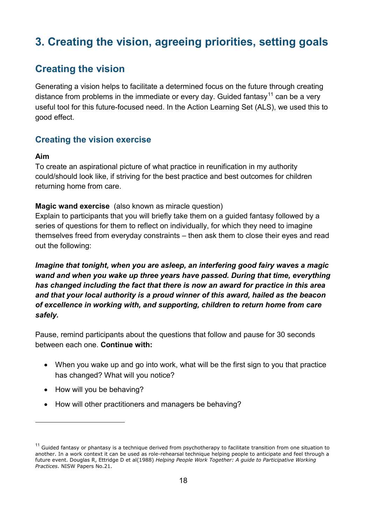# <span id="page-17-0"></span>**3. Creating the vision, agreeing priorities, setting goals**

# <span id="page-17-1"></span>**Creating the vision**

Generating a vision helps to facilitate a determined focus on the future through creating distance from problems in the immediate or every day. Guided fantasy<sup>[11](#page-17-3)</sup> can be a very useful tool for this future-focused need. In the Action Learning Set (ALS), we used this to good effect.

## <span id="page-17-2"></span>**Creating the vision exercise**

#### **Aim**

-

To create an aspirational picture of what practice in reunification in my authority could/should look like, if striving for the best practice and best outcomes for children returning home from care.

#### **Magic wand exercise** (also known as miracle question)

Explain to participants that you will briefly take them on a guided fantasy followed by a series of questions for them to reflect on individually, for which they need to imagine themselves freed from everyday constraints – then ask them to close their eyes and read out the following:

*Imagine that tonight, when you are asleep, an interfering good fairy waves a magic wand and when you wake up three years have passed. During that time, everything has changed including the fact that there is now an award for practice in this area and that your local authority is a proud winner of this award, hailed as the beacon of excellence in working with, and supporting, children to return home from care safely.* 

Pause, remind participants about the questions that follow and pause for 30 seconds between each one. **Continue with:**

- When you wake up and go into work, what will be the first sign to you that practice has changed? What will you notice?
- How will you be behaving?
- How will other practitioners and managers be behaving?

<span id="page-17-3"></span> $11$  Guided fantasy or phantasy is a technique derived from psychotherapy to facilitate transition from one situation to another. In a work context it can be used as role-rehearsal technique helping people to anticipate and feel through a future event. Douglas R, Ettridge D et al(1988) *Helping People Work Together: A guide to Participative Working Practices*. NISW Papers No.21.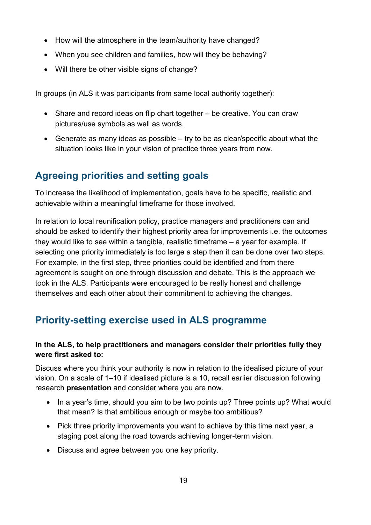- How will the atmosphere in the team/authority have changed?
- When you see children and families, how will they be behaving?
- Will there be other visible signs of change?

In groups (in ALS it was participants from same local authority together):

- Share and record ideas on flip chart together be creative. You can draw pictures/use symbols as well as words.
- Generate as many ideas as possible try to be as clear/specific about what the situation looks like in your vision of practice three years from now.

# <span id="page-18-0"></span>**Agreeing priorities and setting goals**

To increase the likelihood of implementation, goals have to be specific, realistic and achievable within a meaningful timeframe for those involved.

In relation to local reunification policy, practice managers and practitioners can and should be asked to identify their highest priority area for improvements i.e. the outcomes they would like to see within a tangible, realistic timeframe – a year for example. If selecting one priority immediately is too large a step then it can be done over two steps. For example, in the first step, three priorities could be identified and from there agreement is sought on one through discussion and debate. This is the approach we took in the ALS. Participants were encouraged to be really honest and challenge themselves and each other about their commitment to achieving the changes.

# <span id="page-18-1"></span>**Priority-setting exercise used in ALS programme**

#### **In the ALS, to help practitioners and managers consider their priorities fully they were first asked to:**

Discuss where you think your authority is now in relation to the idealised picture of your vision. On a scale of 1–10 if idealised picture is a 10, recall earlier discussion following research **presentation** and consider where you are now.

- In a year's time, should you aim to be two points up? Three points up? What would that mean? Is that ambitious enough or maybe too ambitious?
- Pick three priority improvements you want to achieve by this time next year, a staging post along the road towards achieving longer-term vision.
- Discuss and agree between you one key priority.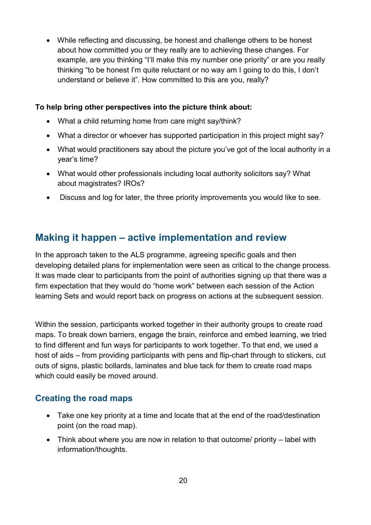• While reflecting and discussing, be honest and challenge others to be honest about how committed you or they really are to achieving these changes. For example, are you thinking "I'll make this my number one priority" or are you really thinking "to be honest I'm quite reluctant or no way am I going to do this, I don't understand or believe it". How committed to this are you, really?

#### **To help bring other perspectives into the picture think about:**

- What a child returning home from care might say/think?
- What a director or whoever has supported participation in this project might say?
- What would practitioners say about the picture you've got of the local authority in a year's time?
- What would other professionals including local authority solicitors say? What about magistrates? IROs?
- Discuss and log for later, the three priority improvements you would like to see.

## <span id="page-19-0"></span>**Making it happen – active implementation and review**

In the approach taken to the ALS programme, agreeing specific goals and then developing detailed plans for implementation were seen as critical to the change process. It was made clear to participants from the point of authorities signing up that there was a firm expectation that they would do "home work" between each session of the Action learning Sets and would report back on progress on actions at the subsequent session.

Within the session, participants worked together in their authority groups to create road maps. To break down barriers, engage the brain, reinforce and embed learning, we tried to find different and fun ways for participants to work together. To that end, we used a host of aids – from providing participants with pens and flip-chart through to stickers, cut outs of signs, plastic bollards, laminates and blue tack for them to create road maps which could easily be moved around.

#### <span id="page-19-1"></span>**Creating the road maps**

- Take one key priority at a time and locate that at the end of the road/destination point (on the road map).
- Think about where you are now in relation to that outcome/ priority label with information/thoughts.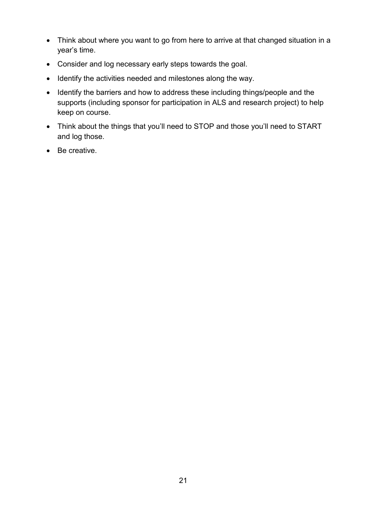- Think about where you want to go from here to arrive at that changed situation in a year's time.
- Consider and log necessary early steps towards the goal.
- Identify the activities needed and milestones along the way.
- Identify the barriers and how to address these including things/people and the supports (including sponsor for participation in ALS and research project) to help keep on course.
- Think about the things that you'll need to STOP and those you'll need to START and log those.
- Be creative.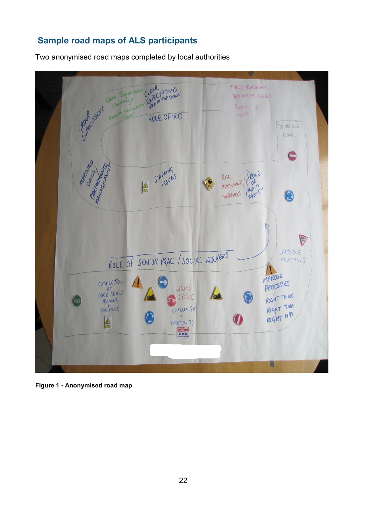## <span id="page-21-0"></span>**Sample road maps of ALS participants**

Two anonymised road maps completed by local authorities



**Figure 1 - Anonymised road map**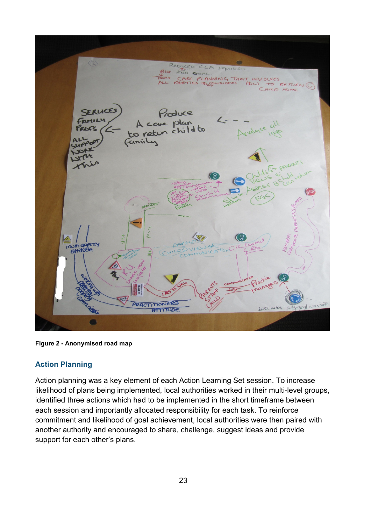Populatio  $\overline{N}$ PLANNING  $THF$ SERUCE roduce plar child to Caniil  $V \cap Y$ Piach anag GIVE PRACTITIONERS **SADLANDS** ATTITUDE

**Figure 2 - Anonymised road map**

#### <span id="page-22-0"></span>**Action Planning**

Action planning was a key element of each Action Learning Set session. To increase likelihood of plans being implemented, local authorities worked in their multi-level groups, identified three actions which had to be implemented in the short timeframe between each session and importantly allocated responsibility for each task. To reinforce commitment and likelihood of goal achievement, local authorities were then paired with another authority and encouraged to share, challenge, suggest ideas and provide support for each other's plans.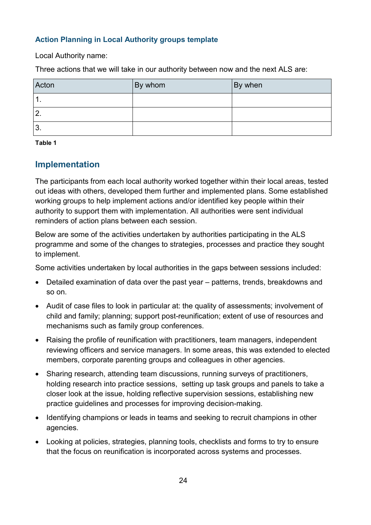#### **Action Planning in Local Authority groups template**

Local Authority name:

Three actions that we will take in our authority between now and the next ALS are:

| Acton            | By whom | By when |
|------------------|---------|---------|
| $\overline{1}$ . |         |         |
| $\overline{2}$ . |         |         |
| 3.               |         |         |

<span id="page-23-1"></span>**Table 1**

#### <span id="page-23-0"></span>**Implementation**

The participants from each local authority worked together within their local areas, tested out ideas with others, developed them further and implemented plans. Some established working groups to help implement actions and/or identified key people within their authority to support them with implementation. All authorities were sent individual reminders of action plans between each session.

Below are some of the activities undertaken by authorities participating in the ALS programme and some of the changes to strategies, processes and practice they sought to implement.

Some activities undertaken by local authorities in the gaps between sessions included:

- Detailed examination of data over the past year patterns, trends, breakdowns and so on.
- Audit of case files to look in particular at: the quality of assessments; involvement of child and family; planning; support post-reunification; extent of use of resources and mechanisms such as family group conferences.
- Raising the profile of reunification with practitioners, team managers, independent reviewing officers and service managers. In some areas, this was extended to elected members, corporate parenting groups and colleagues in other agencies.
- Sharing research, attending team discussions, running surveys of practitioners, holding research into practice sessions, setting up task groups and panels to take a closer look at the issue, holding reflective supervision sessions, establishing new practice guidelines and processes for improving decision-making.
- Identifying champions or leads in teams and seeking to recruit champions in other agencies.
- Looking at policies, strategies, planning tools, checklists and forms to try to ensure that the focus on reunification is incorporated across systems and processes.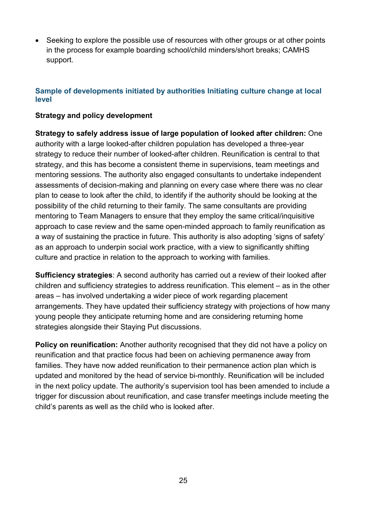• Seeking to explore the possible use of resources with other groups or at other points in the process for example boarding school/child minders/short breaks; CAMHS support.

#### **Sample of developments initiated by authorities Initiating culture change at local level**

#### **Strategy and policy development**

**Strategy to safely address issue of large population of looked after children:** One authority with a large looked-after children population has developed a three-year strategy to reduce their number of looked-after children. Reunification is central to that strategy, and this has become a consistent theme in supervisions, team meetings and mentoring sessions. The authority also engaged consultants to undertake independent assessments of decision-making and planning on every case where there was no clear plan to cease to look after the child, to identify if the authority should be looking at the possibility of the child returning to their family. The same consultants are providing mentoring to Team Managers to ensure that they employ the same critical/inquisitive approach to case review and the same open-minded approach to family reunification as a way of sustaining the practice in future. This authority is also adopting 'signs of safety' as an approach to underpin social work practice, with a view to significantly shifting culture and practice in relation to the approach to working with families.

**Sufficiency strategies**: A second authority has carried out a review of their looked after children and sufficiency strategies to address reunification. This element – as in the other areas – has involved undertaking a wider piece of work regarding placement arrangements. They have updated their sufficiency strategy with projections of how many young people they anticipate returning home and are considering returning home strategies alongside their Staying Put discussions.

**Policy on reunification:** Another authority recognised that they did not have a policy on reunification and that practice focus had been on achieving permanence away from families. They have now added reunification to their permanence action plan which is updated and monitored by the head of service bi-monthly. Reunification will be included in the next policy update. The authority's supervision tool has been amended to include a trigger for discussion about reunification, and case transfer meetings include meeting the child's parents as well as the child who is looked after.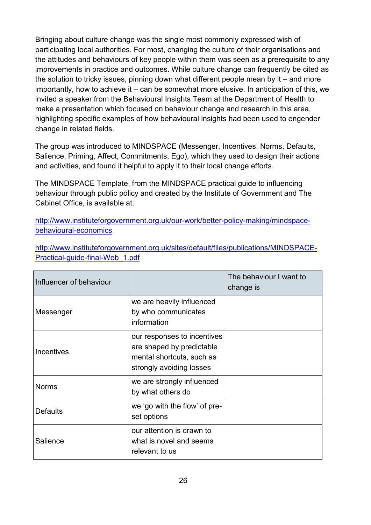Bringing about culture change was the single most commonly expressed wish of participating local authorities. For most, changing the culture of their organisations and the attitudes and behaviours of key people within them was seen as a prerequisite to any improvements in practice and outcomes. While culture change can frequently be cited as the solution to tricky issues, pinning down what different people mean by it  $-$  and more importantly, how to achieve it – can be somewhat more elusive. In anticipation of this, we invited a speaker from the Behavioural Insights Team at the Department of Health to make a presentation which focused on behaviour change and research in this area, highlighting specific examples of how behavioural insights had been used to engender change in related fields.

The group was introduced to MINDSPACE (Messenger, Incentives, Norms, Defaults, Salience, Priming, Affect, Commitments, Ego), which they used to design their actions and activities, and found it helpful to apply it to their local change efforts.

The MINDSPACE Template, from the MINDSPACE practical guide to influencing behaviour through public policy and created by the Institute of Government and The Cabinet Office, is available at:

[http://www.instituteforgovernment.org.uk/our-work/better-policy-making/mindspace](http://www.instituteforgovernment.org.uk/our-work/better-policy-making/mindspace-behavioural-economics)[behavioural-economics](http://www.instituteforgovernment.org.uk/our-work/better-policy-making/mindspace-behavioural-economics)

[http://www.instituteforgovernment.org.uk/sites/default/files/publications/MINDSPACE-](http://www.instituteforgovernment.org.uk/sites/default/files/publications/MINDSPACE-Practical-guide-final-Web_1.pdf)[Practical-guide-final-Web\\_1.pdf](http://www.instituteforgovernment.org.uk/sites/default/files/publications/MINDSPACE-Practical-guide-final-Web_1.pdf)

| Influencer of behaviour |                                                                                                                   | The behaviour I want to<br>change is |
|-------------------------|-------------------------------------------------------------------------------------------------------------------|--------------------------------------|
| Messenger               | we are heavily influenced<br>by who communicates<br>information                                                   |                                      |
| Incentives              | our responses to incentives<br>are shaped by predictable<br>mental shortcuts, such as<br>strongly avoiding losses |                                      |
| <b>Norms</b>            | we are strongly influenced<br>by what others do                                                                   |                                      |
| <b>Defaults</b>         | we 'go with the flow' of pre-<br>set options                                                                      |                                      |
| Salience                | our attention is drawn to<br>what is novel and seems<br>relevant to us                                            |                                      |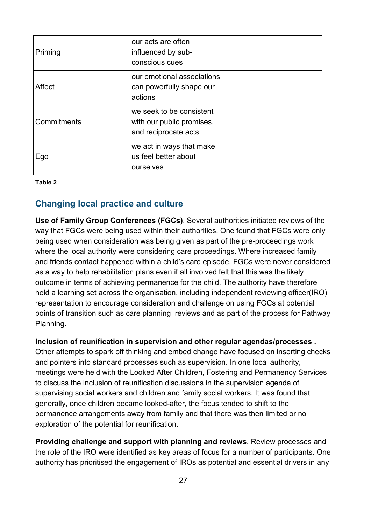| Priming     | our acts are often<br>influenced by sub-<br>conscious cues                    |  |
|-------------|-------------------------------------------------------------------------------|--|
| Affect      | our emotional associations<br>can powerfully shape our<br>actions             |  |
| Commitments | we seek to be consistent<br>with our public promises,<br>and reciprocate acts |  |
| Ego         | we act in ways that make<br>us feel better about<br>ourselves                 |  |

<span id="page-26-1"></span>**Table 2**

#### <span id="page-26-0"></span>**Changing local practice and culture**

**Use of Family Group Conferences (FGCs)**. Several authorities initiated reviews of the way that FGCs were being used within their authorities. One found that FGCs were only being used when consideration was being given as part of the pre-proceedings work where the local authority were considering care proceedings. Where increased family and friends contact happened within a child's care episode, FGCs were never considered as a way to help rehabilitation plans even if all involved felt that this was the likely outcome in terms of achieving permanence for the child. The authority have therefore held a learning set across the organisation, including independent reviewing officer(IRO) representation to encourage consideration and challenge on using FGCs at potential points of transition such as care planning reviews and as part of the process for Pathway Planning.

#### **Inclusion of reunification in supervision and other regular agendas/processes .**

Other attempts to spark off thinking and embed change have focused on inserting checks and pointers into standard processes such as supervision. In one local authority, meetings were held with the Looked After Children, Fostering and Permanency Services to discuss the inclusion of reunification discussions in the supervision agenda of supervising social workers and children and family social workers. It was found that generally, once children became looked-after, the focus tended to shift to the permanence arrangements away from family and that there was then limited or no exploration of the potential for reunification.

**Providing challenge and support with planning and reviews**. Review processes and the role of the IRO were identified as key areas of focus for a number of participants. One authority has prioritised the engagement of IROs as potential and essential drivers in any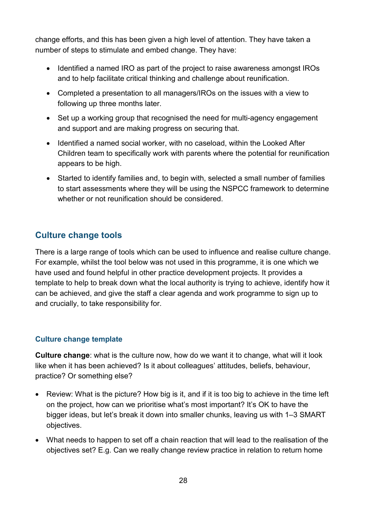change efforts, and this has been given a high level of attention. They have taken a number of steps to stimulate and embed change. They have:

- Identified a named IRO as part of the project to raise awareness amongst IROs and to help facilitate critical thinking and challenge about reunification.
- Completed a presentation to all managers/IROs on the issues with a view to following up three months later.
- Set up a working group that recognised the need for multi-agency engagement and support and are making progress on securing that.
- Identified a named social worker, with no caseload, within the Looked After Children team to specifically work with parents where the potential for reunification appears to be high.
- Started to identify families and, to begin with, selected a small number of families to start assessments where they will be using the NSPCC framework to determine whether or not reunification should be considered.

#### <span id="page-27-0"></span>**Culture change tools**

There is a large range of tools which can be used to influence and realise culture change. For example, whilst the tool below was not used in this programme, it is one which we have used and found helpful in other practice development projects. It provides a template to help to break down what the local authority is trying to achieve, identify how it can be achieved, and give the staff a clear agenda and work programme to sign up to and crucially, to take responsibility for.

#### **Culture change template**

**Culture change**: what is the culture now, how do we want it to change, what will it look like when it has been achieved? Is it about colleagues' attitudes, beliefs, behaviour, practice? Or something else?

- Review: What is the picture? How big is it, and if it is too big to achieve in the time left on the project, how can we prioritise what's most important? It's OK to have the bigger ideas, but let's break it down into smaller chunks, leaving us with 1–3 SMART objectives.
- What needs to happen to set off a chain reaction that will lead to the realisation of the objectives set? E.g. Can we really change review practice in relation to return home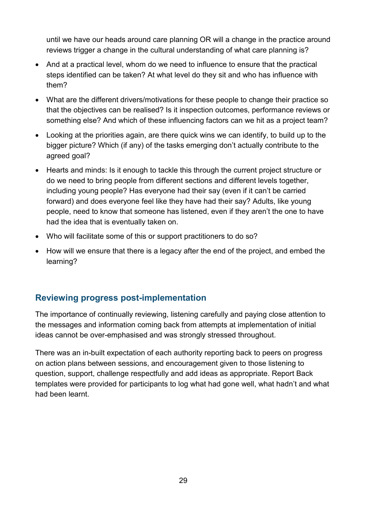until we have our heads around care planning OR will a change in the practice around reviews trigger a change in the cultural understanding of what care planning is?

- And at a practical level, whom do we need to influence to ensure that the practical steps identified can be taken? At what level do they sit and who has influence with them?
- What are the different drivers/motivations for these people to change their practice so that the objectives can be realised? Is it inspection outcomes, performance reviews or something else? And which of these influencing factors can we hit as a project team?
- Looking at the priorities again, are there quick wins we can identify, to build up to the bigger picture? Which (if any) of the tasks emerging don't actually contribute to the agreed goal?
- Hearts and minds: Is it enough to tackle this through the current project structure or do we need to bring people from different sections and different levels together, including young people? Has everyone had their say (even if it can't be carried forward) and does everyone feel like they have had their say? Adults, like young people, need to know that someone has listened, even if they aren't the one to have had the idea that is eventually taken on.
- Who will facilitate some of this or support practitioners to do so?
- How will we ensure that there is a legacy after the end of the project, and embed the learning?

## <span id="page-28-0"></span>**Reviewing progress post-implementation**

The importance of continually reviewing, listening carefully and paying close attention to the messages and information coming back from attempts at implementation of initial ideas cannot be over-emphasised and was strongly stressed throughout.

There was an in-built expectation of each authority reporting back to peers on progress on action plans between sessions, and encouragement given to those listening to question, support, challenge respectfully and add ideas as appropriate. Report Back templates were provided for participants to log what had gone well, what hadn't and what had been learnt.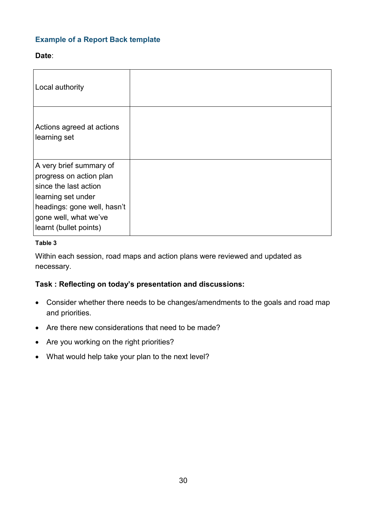#### **Example of a Report Back template**

#### **Date**:

| Local authority                                                                                                                                                                     |  |
|-------------------------------------------------------------------------------------------------------------------------------------------------------------------------------------|--|
| Actions agreed at actions<br>learning set                                                                                                                                           |  |
| A very brief summary of<br>progress on action plan<br>since the last action<br>learning set under<br>headings: gone well, hasn't<br>gone well, what we've<br>learnt (bullet points) |  |

#### <span id="page-29-0"></span>**Table 3**

Within each session, road maps and action plans were reviewed and updated as necessary.

#### **Task : Reflecting on today's presentation and discussions:**

- Consider whether there needs to be changes/amendments to the goals and road map and priorities.
- Are there new considerations that need to be made?
- Are you working on the right priorities?
- What would help take your plan to the next level?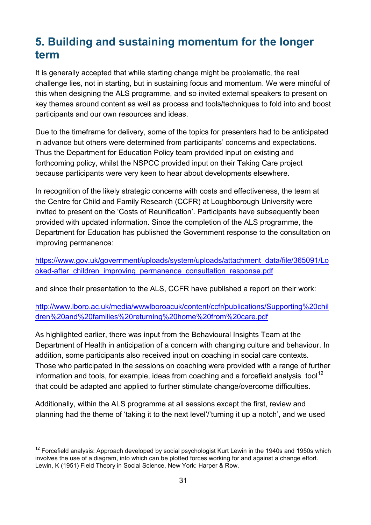# <span id="page-30-0"></span>**5. Building and sustaining momentum for the longer term**

It is generally accepted that while starting change might be problematic, the real challenge lies, not in starting, but in sustaining focus and momentum. We were mindful of this when designing the ALS programme, and so invited external speakers to present on key themes around content as well as process and tools/techniques to fold into and boost participants and our own resources and ideas.

Due to the timeframe for delivery, some of the topics for presenters had to be anticipated in advance but others were determined from participants' concerns and expectations. Thus the Department for Education Policy team provided input on existing and forthcoming policy, whilst the NSPCC provided input on their Taking Care project because participants were very keen to hear about developments elsewhere.

In recognition of the likely strategic concerns with costs and effectiveness, the team at the Centre for Child and Family Research (CCFR) at Loughborough University were invited to present on the 'Costs of Reunification'. Participants have subsequently been provided with updated information. Since the completion of the ALS programme, the Department for Education has published the Government response to the consultation on improving permanence:

[https://www.gov.uk/government/uploads/system/uploads/attachment\\_data/file/365091/Lo](https://www.gov.uk/government/uploads/system/uploads/attachment_data/file/365091/Looked-after_children_improving_permanence_consultation_response.pdf) [oked-after\\_children\\_improving\\_permanence\\_consultation\\_response.pdf](https://www.gov.uk/government/uploads/system/uploads/attachment_data/file/365091/Looked-after_children_improving_permanence_consultation_response.pdf)

and since their presentation to the ALS, CCFR have published a report on their work:

[http://www.lboro.ac.uk/media/wwwlboroacuk/content/ccfr/publications/Supporting%20chil](http://www.lboro.ac.uk/media/wwwlboroacuk/content/ccfr/publications/Supporting%20children%20and%20families%20returning%20home%20from%20care.pdf) [dren%20and%20families%20returning%20home%20from%20care.pdf](http://www.lboro.ac.uk/media/wwwlboroacuk/content/ccfr/publications/Supporting%20children%20and%20families%20returning%20home%20from%20care.pdf)

As highlighted earlier, there was input from the Behavioural Insights Team at the Department of Health in anticipation of a concern with changing culture and behaviour. In addition, some participants also received input on coaching in social care contexts. Those who participated in the sessions on coaching were provided with a range of further information and tools, for example, ideas from coaching and a forcefield analysis tool<sup>[12](#page-30-1)</sup> that could be adapted and applied to further stimulate change/overcome difficulties.

Additionally, within the ALS programme at all sessions except the first, review and planning had the theme of 'taking it to the next level'/'turning it up a notch', and we used

-

<span id="page-30-1"></span><sup>&</sup>lt;sup>12</sup> Forcefield analysis: Approach developed by social psychologist Kurt Lewin in the 1940s and 1950s which involves the use of a diagram, into which can be plotted forces working for and against a change effort. Lewin, K (1951) Field Theory in Social Science, New York: Harper & Row.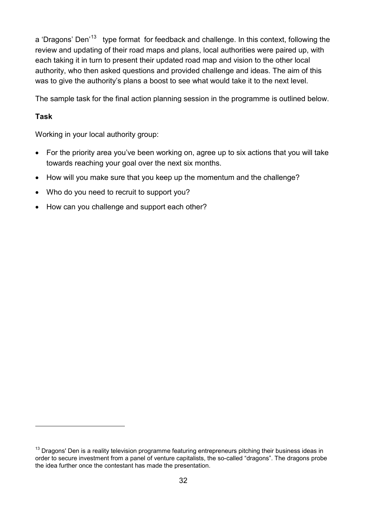a 'Dragons' Den<sup>'13</sup> type format for feedback and challenge. In this context, following the review and updating of their road maps and plans, local authorities were paired up, with each taking it in turn to present their updated road map and vision to the other local authority, who then asked questions and provided challenge and ideas. The aim of this was to give the authority's plans a boost to see what would take it to the next level.

The sample task for the final action planning session in the programme is outlined below.

#### **Task**

-

Working in your local authority group:

- For the priority area you've been working on, agree up to six actions that you will take towards reaching your goal over the next six months.
- How will you make sure that you keep up the momentum and the challenge?
- Who do you need to recruit to support you?
- How can you challenge and support each other?

<span id="page-31-0"></span> $13$  Dragons' Den is a reality television programme featuring entrepreneurs pitching their business ideas in order to secure investment from a panel of venture capitalists, the so-called "dragons". The dragons probe the idea further once the contestant has made the presentation.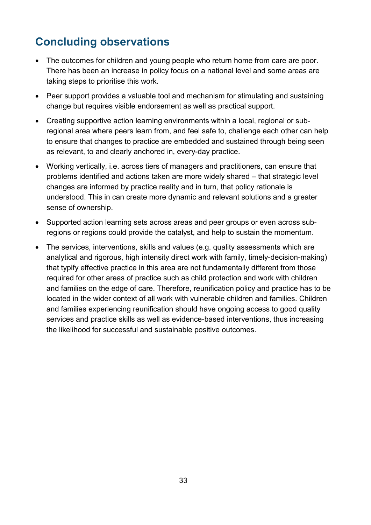# <span id="page-32-0"></span>**Concluding observations**

- The outcomes for children and young people who return home from care are poor. There has been an increase in policy focus on a national level and some areas are taking steps to prioritise this work.
- Peer support provides a valuable tool and mechanism for stimulating and sustaining change but requires visible endorsement as well as practical support.
- Creating supportive action learning environments within a local, regional or subregional area where peers learn from, and feel safe to, challenge each other can help to ensure that changes to practice are embedded and sustained through being seen as relevant, to and clearly anchored in, every-day practice.
- Working vertically, i.e. across tiers of managers and practitioners, can ensure that problems identified and actions taken are more widely shared – that strategic level changes are informed by practice reality and in turn, that policy rationale is understood. This in can create more dynamic and relevant solutions and a greater sense of ownership.
- Supported action learning sets across areas and peer groups or even across subregions or regions could provide the catalyst, and help to sustain the momentum.
- The services, interventions, skills and values (e.g. quality assessments which are analytical and rigorous, high intensity direct work with family, timely-decision-making) that typify effective practice in this area are not fundamentally different from those required for other areas of practice such as child protection and work with children and families on the edge of care. Therefore, reunification policy and practice has to be located in the wider context of all work with vulnerable children and families. Children and families experiencing reunification should have ongoing access to good quality services and practice skills as well as evidence-based interventions, thus increasing the likelihood for successful and sustainable positive outcomes.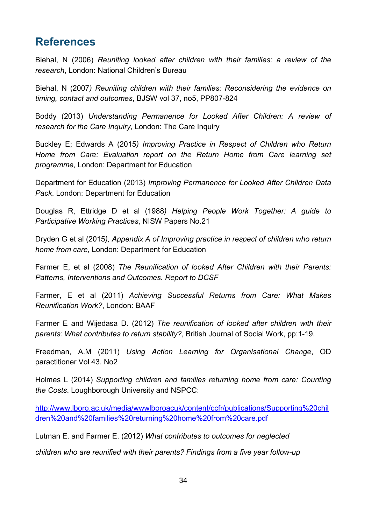# <span id="page-33-0"></span>**References**

Biehal, N (2006) *Reuniting looked after children with their families: a review of the research*, London: National Children's Bureau

Biehal, N (2007*) Reuniting children with their families: Reconsidering the evidence on timing, contact and outcomes*, BJSW vol 37, no5, PP807-824

Boddy (2013) *Understanding Permanence for Looked After Children: A review of research for the Care Inquiry, London: The Care Inquiry* 

Buckley E; Edwards A (2015*) Improving Practice in Respect of Children who Return Home from Care: Evaluation report on the Return Home from Care learning set programme*, London: Department for Education

Department for Education (2013) *Improving Permanence for Looked After Children Data Pack*. London: Department for Education

Douglas R, Ettridge D et al (1988*) Helping People Work Together: A guide to Participative Working Practices*, NISW Papers No.21

Dryden G et al (2015*), Appendix A of Improving practice in respect of children who return home from care*, London: Department for Education

Farmer E, et al (2008) *The Reunification of looked After Children with their Parents: Patterns, Interventions and Outcomes. Report to DCSF*

Farmer, E et al (2011) *Achieving Successful Returns from Care: What Makes Reunification Work?*, London: BAAF

Farmer E and Wijedasa D. (2012) *The reunification of looked after children with their parents: What contributes to return stability?*, British Journal of Social Work, pp:1-19.

Freedman, A.M (2011) *Using Action Learning for Organisational Change*, OD paractitioner Vol 43. No2

Holmes L (2014) *Supporting children and families returning home from care: Counting the Costs*. Loughborough University and NSPCC:

[http://www.lboro.ac.uk/media/wwwlboroacuk/content/ccfr/publications/Supporting%20chil](http://www.lboro.ac.uk/media/wwwlboroacuk/content/ccfr/publications/Supporting%20children%20and%20families%20returning%20home%20from%20care.pdf) [dren%20and%20families%20returning%20home%20from%20care.pdf](http://www.lboro.ac.uk/media/wwwlboroacuk/content/ccfr/publications/Supporting%20children%20and%20families%20returning%20home%20from%20care.pdf)

Lutman E. and Farmer E. (2012) *What contributes to outcomes for neglected*

*children who are reunified with their parents? Findings from a five year follow-up*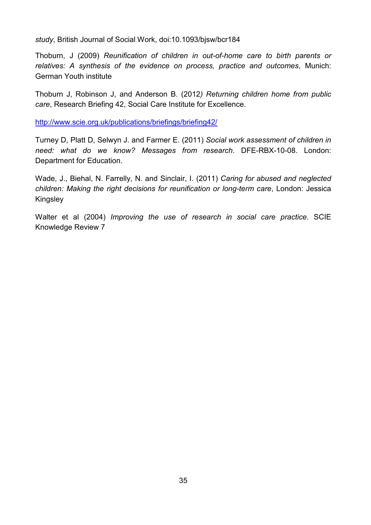*study*, British Journal of Social Work, doi:10.1093/bjsw/bcr184

Thoburn, J (2009) *Reunification of children in out-of-home care to birth parents or relatives: A synthesis of the evidence on process, practice and outcomes*, Munich: German Youth institute

Thoburn J, Robinson J, and Anderson B. (2012*) Returning children home from public care*, Research Briefing 42, Social Care Institute for Excellence.

<http://www.scie.org.uk/publications/briefings/briefing42/>

Turney D, Platt D, Selwyn J. and Farmer E. (2011) *Social work assessment of children in need: what do we know? Messages from research*. DFE-RBX-10-08. London: Department for Education.

Wade, J., Biehal, N. Farrelly, N. and Sinclair, I. (2011) *Caring for abused and neglected children: Making the right decisions for reunification or long-term care*, London: Jessica **Kingsley** 

Walter et al (2004) *Improving the use of research in social care practice*. SCIE Knowledge Review 7